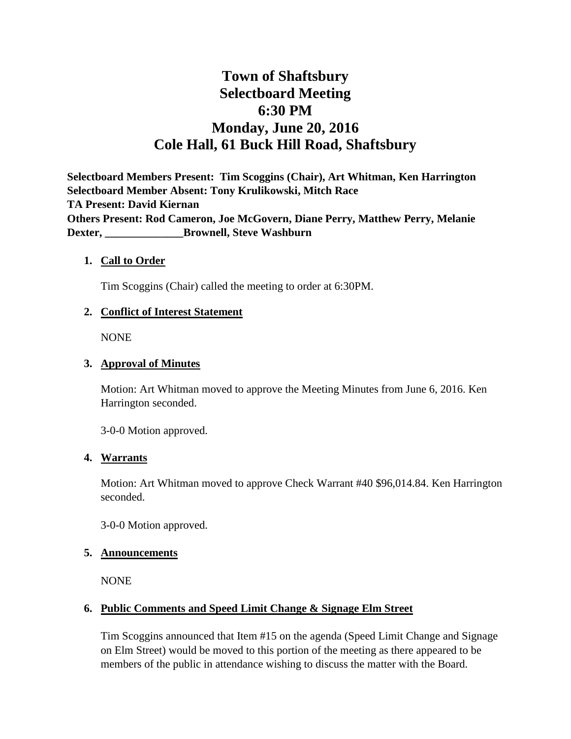# **Town of Shaftsbury Selectboard Meeting 6:30 PM Monday, June 20, 2016 Cole Hall, 61 Buck Hill Road, Shaftsbury**

**Selectboard Members Present: Tim Scoggins (Chair), Art Whitman, Ken Harrington Selectboard Member Absent: Tony Krulikowski, Mitch Race TA Present: David Kiernan Others Present: Rod Cameron, Joe McGovern, Diane Perry, Matthew Perry, Melanie Dexter, \_\_\_\_\_\_\_\_\_\_\_\_\_\_Brownell, Steve Washburn**

#### **1. Call to Order**

Tim Scoggins (Chair) called the meeting to order at 6:30PM.

#### **2. Conflict of Interest Statement**

NONE

#### **3. Approval of Minutes**

Motion: Art Whitman moved to approve the Meeting Minutes from June 6, 2016. Ken Harrington seconded.

3-0-0 Motion approved.

#### **4. Warrants**

Motion: Art Whitman moved to approve Check Warrant #40 \$96,014.84. Ken Harrington seconded.

3-0-0 Motion approved.

#### **5. Announcements**

NONE

#### **6. Public Comments and Speed Limit Change & Signage Elm Street**

Tim Scoggins announced that Item #15 on the agenda (Speed Limit Change and Signage on Elm Street) would be moved to this portion of the meeting as there appeared to be members of the public in attendance wishing to discuss the matter with the Board.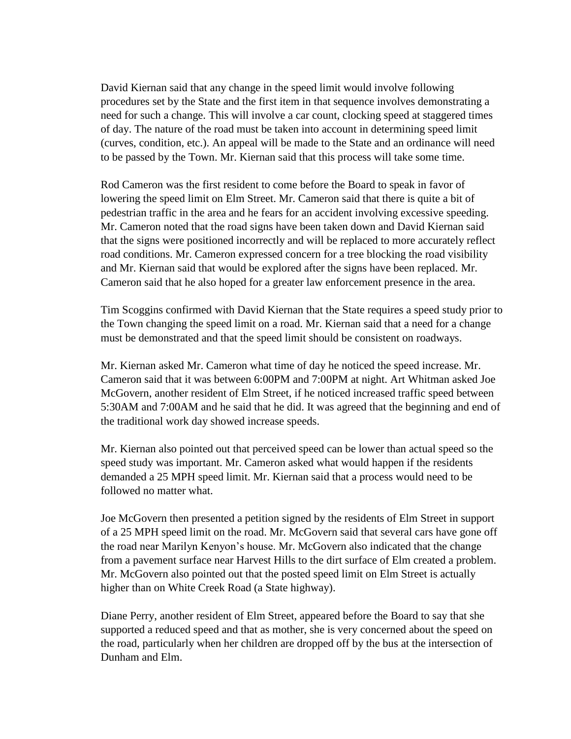David Kiernan said that any change in the speed limit would involve following procedures set by the State and the first item in that sequence involves demonstrating a need for such a change. This will involve a car count, clocking speed at staggered times of day. The nature of the road must be taken into account in determining speed limit (curves, condition, etc.). An appeal will be made to the State and an ordinance will need to be passed by the Town. Mr. Kiernan said that this process will take some time.

Rod Cameron was the first resident to come before the Board to speak in favor of lowering the speed limit on Elm Street. Mr. Cameron said that there is quite a bit of pedestrian traffic in the area and he fears for an accident involving excessive speeding. Mr. Cameron noted that the road signs have been taken down and David Kiernan said that the signs were positioned incorrectly and will be replaced to more accurately reflect road conditions. Mr. Cameron expressed concern for a tree blocking the road visibility and Mr. Kiernan said that would be explored after the signs have been replaced. Mr. Cameron said that he also hoped for a greater law enforcement presence in the area.

Tim Scoggins confirmed with David Kiernan that the State requires a speed study prior to the Town changing the speed limit on a road. Mr. Kiernan said that a need for a change must be demonstrated and that the speed limit should be consistent on roadways.

Mr. Kiernan asked Mr. Cameron what time of day he noticed the speed increase. Mr. Cameron said that it was between 6:00PM and 7:00PM at night. Art Whitman asked Joe McGovern, another resident of Elm Street, if he noticed increased traffic speed between 5:30AM and 7:00AM and he said that he did. It was agreed that the beginning and end of the traditional work day showed increase speeds.

Mr. Kiernan also pointed out that perceived speed can be lower than actual speed so the speed study was important. Mr. Cameron asked what would happen if the residents demanded a 25 MPH speed limit. Mr. Kiernan said that a process would need to be followed no matter what.

Joe McGovern then presented a petition signed by the residents of Elm Street in support of a 25 MPH speed limit on the road. Mr. McGovern said that several cars have gone off the road near Marilyn Kenyon's house. Mr. McGovern also indicated that the change from a pavement surface near Harvest Hills to the dirt surface of Elm created a problem. Mr. McGovern also pointed out that the posted speed limit on Elm Street is actually higher than on White Creek Road (a State highway).

Diane Perry, another resident of Elm Street, appeared before the Board to say that she supported a reduced speed and that as mother, she is very concerned about the speed on the road, particularly when her children are dropped off by the bus at the intersection of Dunham and Elm.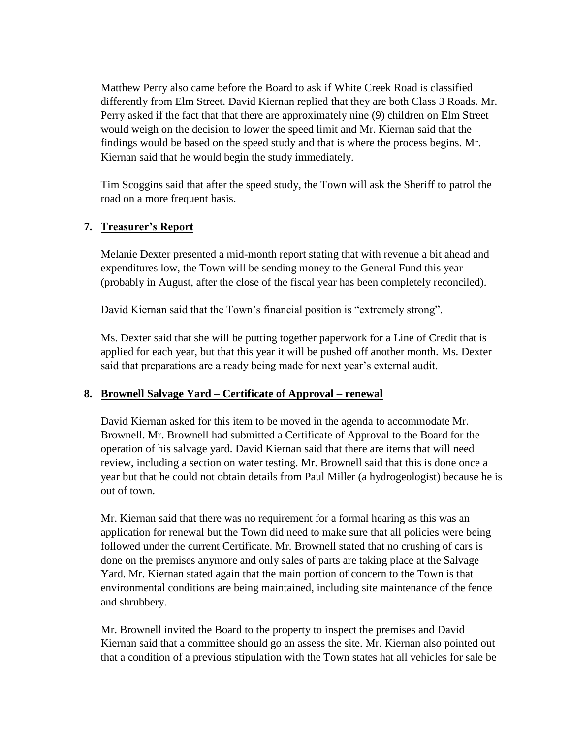Matthew Perry also came before the Board to ask if White Creek Road is classified differently from Elm Street. David Kiernan replied that they are both Class 3 Roads. Mr. Perry asked if the fact that that there are approximately nine (9) children on Elm Street would weigh on the decision to lower the speed limit and Mr. Kiernan said that the findings would be based on the speed study and that is where the process begins. Mr. Kiernan said that he would begin the study immediately.

Tim Scoggins said that after the speed study, the Town will ask the Sheriff to patrol the road on a more frequent basis.

# **7. Treasurer's Report**

Melanie Dexter presented a mid-month report stating that with revenue a bit ahead and expenditures low, the Town will be sending money to the General Fund this year (probably in August, after the close of the fiscal year has been completely reconciled).

David Kiernan said that the Town's financial position is "extremely strong".

Ms. Dexter said that she will be putting together paperwork for a Line of Credit that is applied for each year, but that this year it will be pushed off another month. Ms. Dexter said that preparations are already being made for next year's external audit.

# **8. Brownell Salvage Yard – Certificate of Approval – renewal**

David Kiernan asked for this item to be moved in the agenda to accommodate Mr. Brownell. Mr. Brownell had submitted a Certificate of Approval to the Board for the operation of his salvage yard. David Kiernan said that there are items that will need review, including a section on water testing. Mr. Brownell said that this is done once a year but that he could not obtain details from Paul Miller (a hydrogeologist) because he is out of town.

Mr. Kiernan said that there was no requirement for a formal hearing as this was an application for renewal but the Town did need to make sure that all policies were being followed under the current Certificate. Mr. Brownell stated that no crushing of cars is done on the premises anymore and only sales of parts are taking place at the Salvage Yard. Mr. Kiernan stated again that the main portion of concern to the Town is that environmental conditions are being maintained, including site maintenance of the fence and shrubbery.

Mr. Brownell invited the Board to the property to inspect the premises and David Kiernan said that a committee should go an assess the site. Mr. Kiernan also pointed out that a condition of a previous stipulation with the Town states hat all vehicles for sale be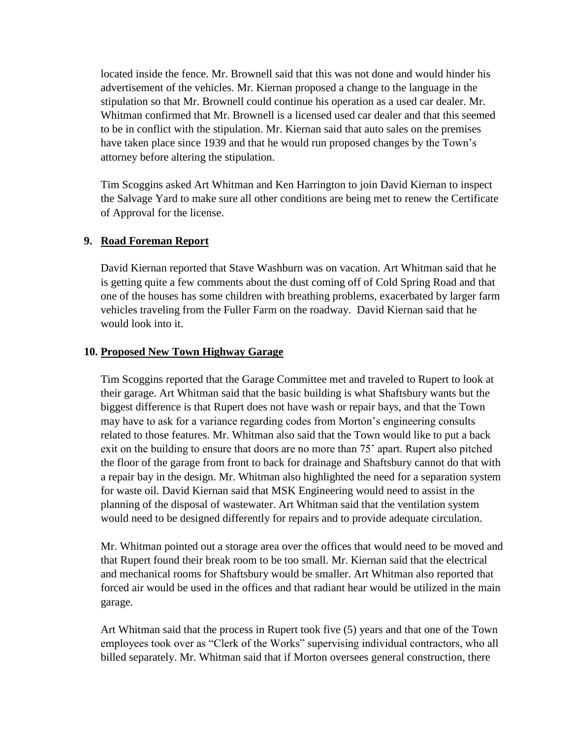located inside the fence. Mr. Brownell said that this was not done and would hinder his advertisement of the vehicles. Mr. Kiernan proposed a change to the language in the stipulation so that Mr. Brownell could continue his operation as a used car dealer. Mr. Whitman confirmed that Mr. Brownell is a licensed used car dealer and that this seemed to be in conflict with the stipulation. Mr. Kiernan said that auto sales on the premises have taken place since 1939 and that he would run proposed changes by the Town's attorney before altering the stipulation.

Tim Scoggins asked Art Whitman and Ken Harrington to join David Kiernan to inspect the Salvage Yard to make sure all other conditions are being met to renew the Certificate of Approval for the license.

## **9. Road Foreman Report**

David Kiernan reported that Stave Washburn was on vacation. Art Whitman said that he is getting quite a few comments about the dust coming off of Cold Spring Road and that one of the houses has some children with breathing problems, exacerbated by larger farm vehicles traveling from the Fuller Farm on the roadway. David Kiernan said that he would look into it.

## **10. Proposed New Town Highway Garage**

Tim Scoggins reported that the Garage Committee met and traveled to Rupert to look at their garage. Art Whitman said that the basic building is what Shaftsbury wants but the biggest difference is that Rupert does not have wash or repair bays, and that the Town may have to ask for a variance regarding codes from Morton's engineering consults related to those features. Mr. Whitman also said that the Town would like to put a back exit on the building to ensure that doors are no more than 75' apart. Rupert also pitched the floor of the garage from front to back for drainage and Shaftsbury cannot do that with a repair bay in the design. Mr. Whitman also highlighted the need for a separation system for waste oil. David Kiernan said that MSK Engineering would need to assist in the planning of the disposal of wastewater. Art Whitman said that the ventilation system would need to be designed differently for repairs and to provide adequate circulation.

Mr. Whitman pointed out a storage area over the offices that would need to be moved and that Rupert found their break room to be too small. Mr. Kiernan said that the electrical and mechanical rooms for Shaftsbury would be smaller. Art Whitman also reported that forced air would be used in the offices and that radiant hear would be utilized in the main garage.

Art Whitman said that the process in Rupert took five (5) years and that one of the Town employees took over as "Clerk of the Works" supervising individual contractors, who all billed separately. Mr. Whitman said that if Morton oversees general construction, there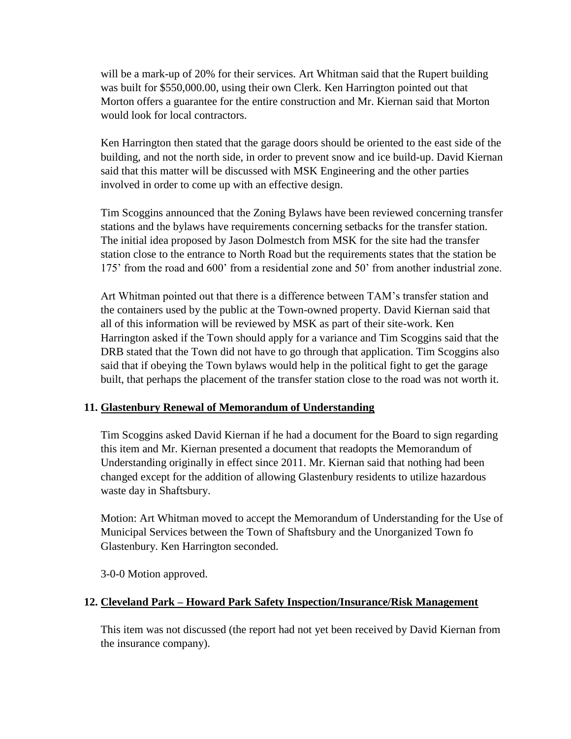will be a mark-up of 20% for their services. Art Whitman said that the Rupert building was built for \$550,000.00, using their own Clerk. Ken Harrington pointed out that Morton offers a guarantee for the entire construction and Mr. Kiernan said that Morton would look for local contractors.

Ken Harrington then stated that the garage doors should be oriented to the east side of the building, and not the north side, in order to prevent snow and ice build-up. David Kiernan said that this matter will be discussed with MSK Engineering and the other parties involved in order to come up with an effective design.

Tim Scoggins announced that the Zoning Bylaws have been reviewed concerning transfer stations and the bylaws have requirements concerning setbacks for the transfer station. The initial idea proposed by Jason Dolmestch from MSK for the site had the transfer station close to the entrance to North Road but the requirements states that the station be 175' from the road and 600' from a residential zone and 50' from another industrial zone.

Art Whitman pointed out that there is a difference between TAM's transfer station and the containers used by the public at the Town-owned property. David Kiernan said that all of this information will be reviewed by MSK as part of their site-work. Ken Harrington asked if the Town should apply for a variance and Tim Scoggins said that the DRB stated that the Town did not have to go through that application. Tim Scoggins also said that if obeying the Town bylaws would help in the political fight to get the garage built, that perhaps the placement of the transfer station close to the road was not worth it.

# **11. Glastenbury Renewal of Memorandum of Understanding**

Tim Scoggins asked David Kiernan if he had a document for the Board to sign regarding this item and Mr. Kiernan presented a document that readopts the Memorandum of Understanding originally in effect since 2011. Mr. Kiernan said that nothing had been changed except for the addition of allowing Glastenbury residents to utilize hazardous waste day in Shaftsbury.

Motion: Art Whitman moved to accept the Memorandum of Understanding for the Use of Municipal Services between the Town of Shaftsbury and the Unorganized Town fo Glastenbury. Ken Harrington seconded.

3-0-0 Motion approved.

# **12. Cleveland Park – Howard Park Safety Inspection/Insurance/Risk Management**

This item was not discussed (the report had not yet been received by David Kiernan from the insurance company).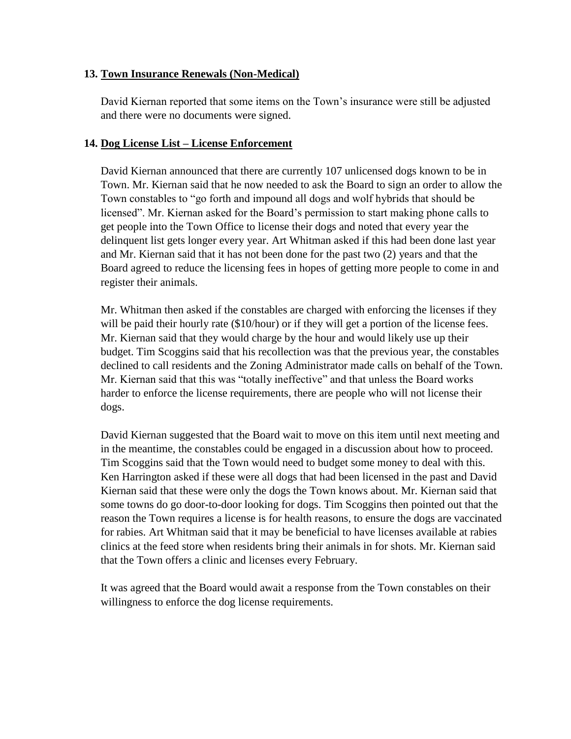## **13. Town Insurance Renewals (Non-Medical)**

David Kiernan reported that some items on the Town's insurance were still be adjusted and there were no documents were signed.

## **14. Dog License List – License Enforcement**

David Kiernan announced that there are currently 107 unlicensed dogs known to be in Town. Mr. Kiernan said that he now needed to ask the Board to sign an order to allow the Town constables to "go forth and impound all dogs and wolf hybrids that should be licensed". Mr. Kiernan asked for the Board's permission to start making phone calls to get people into the Town Office to license their dogs and noted that every year the delinquent list gets longer every year. Art Whitman asked if this had been done last year and Mr. Kiernan said that it has not been done for the past two (2) years and that the Board agreed to reduce the licensing fees in hopes of getting more people to come in and register their animals.

Mr. Whitman then asked if the constables are charged with enforcing the licenses if they will be paid their hourly rate (\$10/hour) or if they will get a portion of the license fees. Mr. Kiernan said that they would charge by the hour and would likely use up their budget. Tim Scoggins said that his recollection was that the previous year, the constables declined to call residents and the Zoning Administrator made calls on behalf of the Town. Mr. Kiernan said that this was "totally ineffective" and that unless the Board works harder to enforce the license requirements, there are people who will not license their dogs.

David Kiernan suggested that the Board wait to move on this item until next meeting and in the meantime, the constables could be engaged in a discussion about how to proceed. Tim Scoggins said that the Town would need to budget some money to deal with this. Ken Harrington asked if these were all dogs that had been licensed in the past and David Kiernan said that these were only the dogs the Town knows about. Mr. Kiernan said that some towns do go door-to-door looking for dogs. Tim Scoggins then pointed out that the reason the Town requires a license is for health reasons, to ensure the dogs are vaccinated for rabies. Art Whitman said that it may be beneficial to have licenses available at rabies clinics at the feed store when residents bring their animals in for shots. Mr. Kiernan said that the Town offers a clinic and licenses every February.

It was agreed that the Board would await a response from the Town constables on their willingness to enforce the dog license requirements.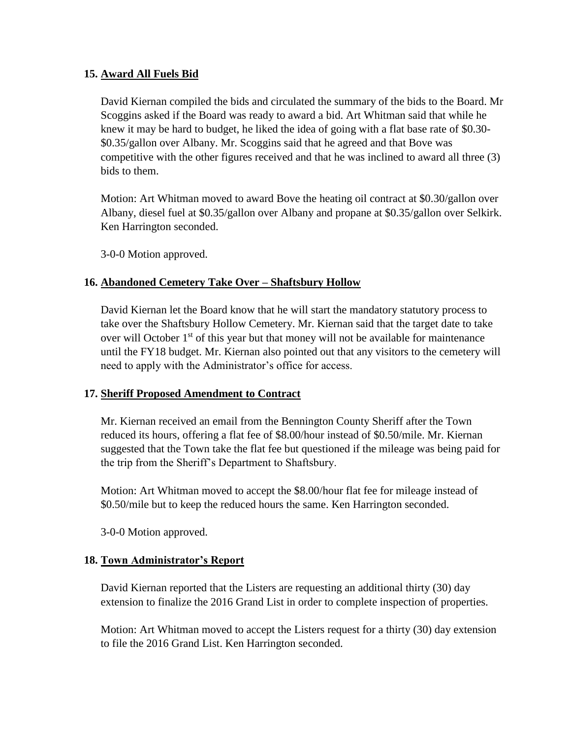## **15. Award All Fuels Bid**

David Kiernan compiled the bids and circulated the summary of the bids to the Board. Mr Scoggins asked if the Board was ready to award a bid. Art Whitman said that while he knew it may be hard to budget, he liked the idea of going with a flat base rate of \$0.30- \$0.35/gallon over Albany. Mr. Scoggins said that he agreed and that Bove was competitive with the other figures received and that he was inclined to award all three (3) bids to them.

Motion: Art Whitman moved to award Bove the heating oil contract at \$0.30/gallon over Albany, diesel fuel at \$0.35/gallon over Albany and propane at \$0.35/gallon over Selkirk. Ken Harrington seconded.

3-0-0 Motion approved.

# **16. Abandoned Cemetery Take Over – Shaftsbury Hollow**

David Kiernan let the Board know that he will start the mandatory statutory process to take over the Shaftsbury Hollow Cemetery. Mr. Kiernan said that the target date to take over will October 1<sup>st</sup> of this year but that money will not be available for maintenance until the FY18 budget. Mr. Kiernan also pointed out that any visitors to the cemetery will need to apply with the Administrator's office for access.

#### **17. Sheriff Proposed Amendment to Contract**

Mr. Kiernan received an email from the Bennington County Sheriff after the Town reduced its hours, offering a flat fee of \$8.00/hour instead of \$0.50/mile. Mr. Kiernan suggested that the Town take the flat fee but questioned if the mileage was being paid for the trip from the Sheriff's Department to Shaftsbury.

Motion: Art Whitman moved to accept the \$8.00/hour flat fee for mileage instead of \$0.50/mile but to keep the reduced hours the same. Ken Harrington seconded.

3-0-0 Motion approved.

# **18. Town Administrator's Report**

David Kiernan reported that the Listers are requesting an additional thirty (30) day extension to finalize the 2016 Grand List in order to complete inspection of properties.

Motion: Art Whitman moved to accept the Listers request for a thirty (30) day extension to file the 2016 Grand List. Ken Harrington seconded.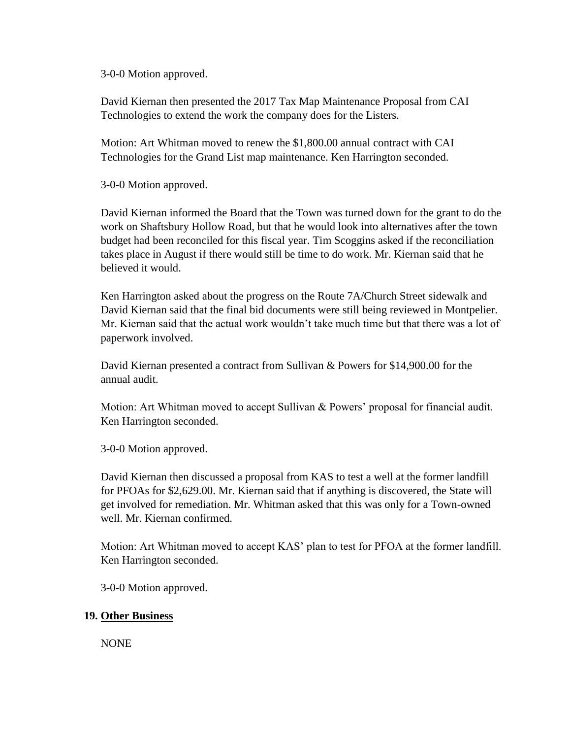3-0-0 Motion approved.

David Kiernan then presented the 2017 Tax Map Maintenance Proposal from CAI Technologies to extend the work the company does for the Listers.

Motion: Art Whitman moved to renew the \$1,800.00 annual contract with CAI Technologies for the Grand List map maintenance. Ken Harrington seconded.

3-0-0 Motion approved.

David Kiernan informed the Board that the Town was turned down for the grant to do the work on Shaftsbury Hollow Road, but that he would look into alternatives after the town budget had been reconciled for this fiscal year. Tim Scoggins asked if the reconciliation takes place in August if there would still be time to do work. Mr. Kiernan said that he believed it would.

Ken Harrington asked about the progress on the Route 7A/Church Street sidewalk and David Kiernan said that the final bid documents were still being reviewed in Montpelier. Mr. Kiernan said that the actual work wouldn't take much time but that there was a lot of paperwork involved.

David Kiernan presented a contract from Sullivan & Powers for \$14,900.00 for the annual audit.

Motion: Art Whitman moved to accept Sullivan & Powers' proposal for financial audit. Ken Harrington seconded.

3-0-0 Motion approved.

David Kiernan then discussed a proposal from KAS to test a well at the former landfill for PFOAs for \$2,629.00. Mr. Kiernan said that if anything is discovered, the State will get involved for remediation. Mr. Whitman asked that this was only for a Town-owned well. Mr. Kiernan confirmed.

Motion: Art Whitman moved to accept KAS' plan to test for PFOA at the former landfill. Ken Harrington seconded.

3-0-0 Motion approved.

# **19. Other Business**

NONE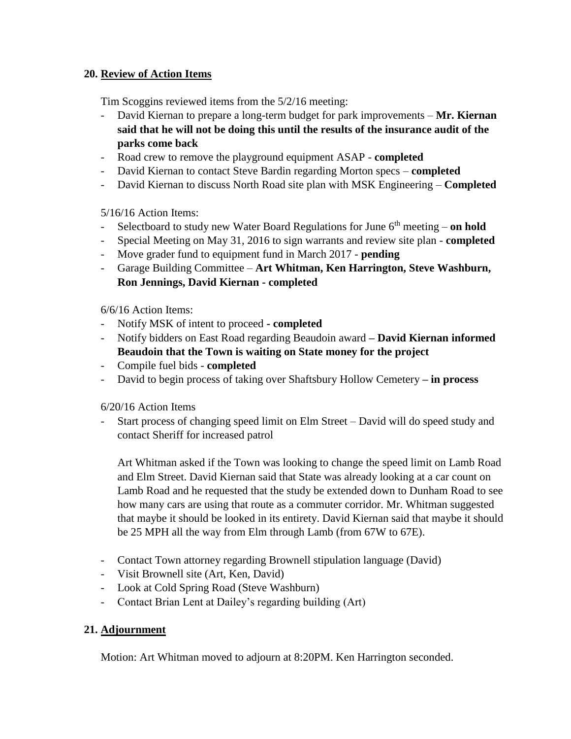# **20. Review of Action Items**

Tim Scoggins reviewed items from the 5/2/16 meeting:

- David Kiernan to prepare a long-term budget for park improvements **Mr. Kiernan said that he will not be doing this until the results of the insurance audit of the parks come back**
- Road crew to remove the playground equipment ASAP **completed**
- David Kiernan to contact Steve Bardin regarding Morton specs **completed**
- David Kiernan to discuss North Road site plan with MSK Engineering **Completed**

5/16/16 Action Items:

- Selectboard to study new Water Board Regulations for June  $6<sup>th</sup>$  meeting **on hold**
- Special Meeting on May 31, 2016 to sign warrants and review site plan **completed**
- Move grader fund to equipment fund in March 2017 **pending**
- Garage Building Committee **Art Whitman, Ken Harrington, Steve Washburn, Ron Jennings, David Kiernan - completed**

6/6/16 Action Items:

- Notify MSK of intent to proceed **- completed**
- Notify bidders on East Road regarding Beaudoin award **– David Kiernan informed Beaudoin that the Town is waiting on State money for the project**
- Compile fuel bids **completed**
- David to begin process of taking over Shaftsbury Hollow Cemetery **– in process**

6/20/16 Action Items

- Start process of changing speed limit on Elm Street – David will do speed study and contact Sheriff for increased patrol

Art Whitman asked if the Town was looking to change the speed limit on Lamb Road and Elm Street. David Kiernan said that State was already looking at a car count on Lamb Road and he requested that the study be extended down to Dunham Road to see how many cars are using that route as a commuter corridor. Mr. Whitman suggested that maybe it should be looked in its entirety. David Kiernan said that maybe it should be 25 MPH all the way from Elm through Lamb (from 67W to 67E).

- Contact Town attorney regarding Brownell stipulation language (David)
- Visit Brownell site (Art, Ken, David)
- Look at Cold Spring Road (Steve Washburn)
- Contact Brian Lent at Dailey's regarding building (Art)

# **21. Adjournment**

Motion: Art Whitman moved to adjourn at 8:20PM. Ken Harrington seconded.